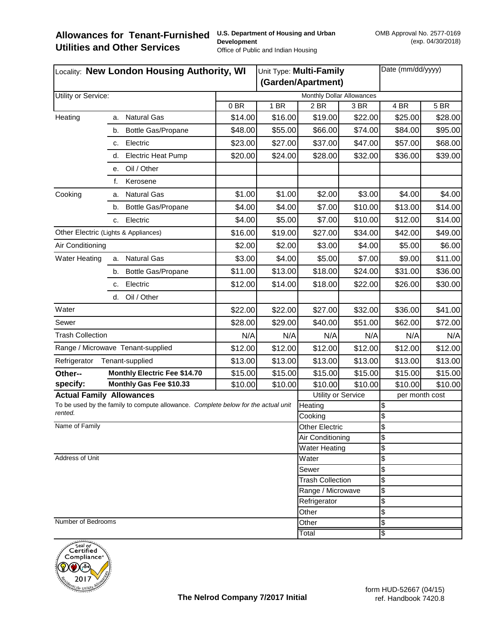| Locality: New London Housing Authority, WI                                                   |                                     |                  | Unit Type: Multi-Family |                                              | Date (mm/dd/yyyy) |                |         |
|----------------------------------------------------------------------------------------------|-------------------------------------|------------------|-------------------------|----------------------------------------------|-------------------|----------------|---------|
|                                                                                              |                                     |                  | (Garden/Apartment)      |                                              |                   |                |         |
| Utility or Service:                                                                          | Monthly Dollar Allowances           |                  |                         |                                              |                   |                |         |
|                                                                                              |                                     | 0 <sub>BR</sub>  | 1 BR                    | 2 BR                                         | 3 BR              | 4 BR           | 5 BR    |
| Heating                                                                                      | <b>Natural Gas</b><br>а.            | \$14.00          | \$16.00                 | \$19.00                                      | \$22.00           | \$25.00        | \$28.00 |
|                                                                                              | Bottle Gas/Propane<br>b.            | \$48.00          | \$55.00                 | \$66.00                                      | \$74.00           | \$84.00        | \$95.00 |
|                                                                                              | Electric<br>C.                      | \$23.00          | \$27.00                 | \$37.00                                      | \$47.00           | \$57.00        | \$68.00 |
|                                                                                              | <b>Electric Heat Pump</b><br>d.     | \$20.00          | \$24.00                 | \$28.00                                      | \$32.00           | \$36.00        | \$39.00 |
|                                                                                              | Oil / Other<br>е.                   |                  |                         |                                              |                   |                |         |
|                                                                                              | f.<br>Kerosene                      |                  |                         |                                              |                   |                |         |
| Cooking                                                                                      | <b>Natural Gas</b><br>a.            | \$1.00           | \$1.00                  | \$2.00                                       | \$3.00            | \$4.00         | \$4.00  |
|                                                                                              | Bottle Gas/Propane<br>b.            | \$4.00           | \$4.00                  | \$7.00                                       | \$10.00           | \$13.00        | \$14.00 |
|                                                                                              | Electric<br>C.                      | \$4.00           | \$5.00                  | \$7.00                                       | \$10.00           | \$12.00        | \$14.00 |
| Other Electric (Lights & Appliances)                                                         |                                     | \$16.00          | \$19.00                 | \$27.00                                      | \$34.00           | \$42.00        | \$49.00 |
| Air Conditioning                                                                             |                                     | \$2.00           | \$2.00                  | \$3.00                                       | \$4.00            | \$5.00         | \$6.00  |
| <b>Water Heating</b>                                                                         | <b>Natural Gas</b><br>a.            | \$3.00           | \$4.00                  | \$5.00                                       | \$7.00            | \$9.00         | \$11.00 |
|                                                                                              | Bottle Gas/Propane<br>b.            | \$11.00          | \$13.00                 | \$18.00                                      | \$24.00           | \$31.00        | \$36.00 |
|                                                                                              | Electric<br>c.                      | \$12.00          | \$14.00                 | \$18.00                                      | \$22.00           | \$26.00        | \$30.00 |
|                                                                                              | Oil / Other<br>d.                   |                  |                         |                                              |                   |                |         |
| Water                                                                                        |                                     | \$22.00          | \$22.00                 | \$27.00                                      | \$32.00           | \$36.00        | \$41.00 |
| Sewer                                                                                        |                                     | \$28.00          | \$29.00                 | \$40.00                                      | \$51.00           | \$62.00        | \$72.00 |
| <b>Trash Collection</b>                                                                      |                                     | N/A              | N/A                     | N/A                                          | N/A               | N/A            | N/A     |
| Range / Microwave Tenant-supplied                                                            |                                     | \$12.00          | \$12.00                 | \$12.00                                      | \$12.00           | \$12.00        | \$12.00 |
| Tenant-supplied<br>Refrigerator                                                              |                                     | \$13.00          | \$13.00                 | \$13.00                                      | \$13.00           | \$13.00        | \$13.00 |
| Other--                                                                                      | <b>Monthly Electric Fee \$14.70</b> | \$15.00          | \$15.00                 | \$15.00                                      | \$15.00           | \$15.00        | \$15.00 |
| specify:                                                                                     | Monthly Gas Fee \$10.33             | \$10.00          | \$10.00                 | \$10.00                                      | \$10.00           | \$10.00        | \$10.00 |
| <b>Actual Family Allowances</b>                                                              |                                     |                  | Utility or Service      |                                              |                   | per month cost |         |
| To be used by the family to compute allowance. Complete below for the actual unit<br>rented. |                                     | Heating          |                         | \$                                           |                   |                |         |
|                                                                                              | Cooking                             |                  |                         | \$                                           |                   |                |         |
| Name of Family                                                                               | Other Electric                      |                  |                         | \$                                           |                   |                |         |
|                                                                                              |                                     | Air Conditioning |                         | \$                                           |                   |                |         |
| Address of Unit                                                                              |                                     |                  |                         | Water Heating                                |                   | \$             |         |
|                                                                                              |                                     | Water<br>Sewer   |                         | \$<br>\$                                     |                   |                |         |
|                                                                                              |                                     |                  |                         |                                              |                   | \$             |         |
|                                                                                              |                                     |                  |                         | <b>Trash Collection</b><br>Range / Microwave |                   | \$             |         |
|                                                                                              |                                     |                  |                         | Refrigerator                                 |                   | \$             |         |
|                                                                                              |                                     |                  | Other                   |                                              | \$                |                |         |
| Number of Bedrooms                                                                           |                                     | Other            |                         | \$                                           |                   |                |         |
|                                                                                              |                                     |                  |                         | Total                                        |                   | \$             |         |